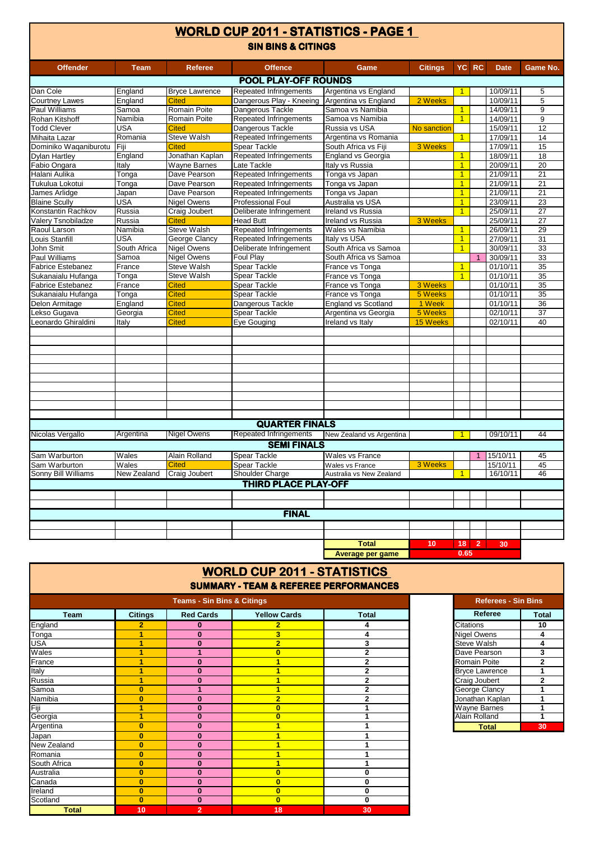| <b>SIN BINS &amp; CITINGS</b><br>YC RC<br><b>Offence</b><br><b>Citings</b><br><b>Date</b><br><b>Game No.</b><br><b>Offender</b><br><b>Team</b><br><b>Referee</b><br>Game<br><b>POOL PLAY-OFF ROUNDS</b><br>Repeated Infringements<br>Dan Cole<br>England<br><b>Bryce Lawrence</b><br>Argentina vs England<br>10/09/11<br>5<br>$\blacktriangleleft$<br>$\overline{5}$<br><b>Courtney Lawes</b><br>England<br><b>Cited</b><br>Dangerous Play - Kneeing Argentina vs England<br>10/09/11<br>2 Weeks<br>Samoa<br>Romain Poite<br>Dangerous Tackle<br>Samoa vs Namibia<br>9<br>Paul Williams<br>$\overline{1}$<br>14/09/11<br>$\overline{9}$<br>Rohan Kitshoff<br>Namibia<br>Romain Poite<br><b>Repeated Infringements</b><br>Samoa vs Namibia<br>14/09/11<br>$\overline{1}$<br>12<br><b>Todd Clever</b><br>USA<br>Dangerous Tackle<br>Russia vs USA<br>15/09/11<br><b>Cited</b><br>No sanction<br>Romania<br><b>Steve Walsh</b><br>Repeated Infringements<br>Argentina vs Romania<br>14<br>$\blacktriangleleft$<br>17/09/11<br>Mihaita Lazar<br>15<br>Dominiko Waqaniburotu<br>Spear Tackle<br>South Africa vs Fiji<br>3 Weeks<br>17/09/11<br>Fiji<br><b>Cited</b><br><b>England vs Georgia</b><br>18<br>Dylan Hartley<br>England<br>Jonathan Kaplan<br>Repeated Infringements<br>$\overline{1}$<br>18/09/11<br>$\overline{20}$<br>Fabio Ongara<br><b>Wayne Barnes</b><br>Late Tackle<br>Italy vs Russia<br>$\overline{1}$<br>20/09/11<br>Italy<br>Halani Aulika<br>Dave Pearson<br>Repeated Infringements<br>Tonga vs Japan<br>$\overline{1}$<br>21/09/11<br>21<br>Tonga<br>Dave Pearson<br>Repeated Infringements<br>$\overline{21}$<br>Tukulua Lokotui<br>Tonga<br>Tonga vs Japan<br>$\overline{1}$<br>21/09/11<br>Dave Pearson<br>Repeated Infringements<br>$\blacktriangleleft$<br>21/09/11<br>21<br>James Arlidge<br>Tonga vs Japan<br>Japan<br>USA<br><b>Nigel Owens</b><br>$\overline{23}$<br><b>Blaine Scully</b><br><b>Professional Foul</b><br>Australia vs USA<br>$\blacktriangleleft$<br>23/09/11<br>Russia<br>Craig Joubert<br>Deliberate Infringement<br>Ireland vs Russia<br>Konstantin Rachkov<br>$\overline{1}$<br>25/09/11<br>27<br>$\overline{27}$<br>Valery Tsnobiladze<br>Russia<br><b>Head Butt</b><br>Ireland vs Russia<br>25/09/11<br><b>Cited</b><br>3 Weeks<br><b>Steve Walsh</b><br>Repeated Infringements<br>29<br>Raoul Larson<br>Namibia<br>Wales vs Namibia<br>26/09/11<br>$\mathbf{1}$<br>USA<br>George Clancy<br>Repeated Infringements<br>Italy vs USA<br>31<br>Louis Stanfill<br>$\overline{1}$<br>27/09/11<br>33<br>John Smit<br>South Africa<br><b>Nigel Owens</b><br>Deliberate Infringement<br>South Africa vs Samoa<br>30/09/11<br>$\overline{1}$<br>33<br><b>Paul Williams</b><br>Samoa<br><b>Nigel Owens</b><br>Foul Play<br>South Africa vs Samoa<br>30/09/11<br><b>Steve Walsh</b><br><b>Spear Tackle</b><br><b>Fabrice Estebanez</b><br>France<br>France vs Tonga<br>$\overline{1}$<br>01/10/11<br>35<br>$\overline{1}$<br><b>Steve Walsh</b><br><b>Spear Tackle</b><br>France vs Tonga<br>01/10/11<br>35<br>Sukanaialu Hufanga<br>Tonga<br>3 Weeks<br>35<br><b>Fabrice Estebanez</b><br><b>Spear Tackle</b><br>France vs Tonga<br>01/10/11<br>France<br><b>Cited</b><br>Spear Tackle<br>5 Weeks<br>Sukanaialu Hufanga<br>Tonga<br><b>Cited</b><br>France vs Tonga<br>01/10/11<br>35<br>36<br>England<br><b>Cited</b><br>Dangerous Tackle<br><b>England vs Scotland</b><br>1 Week<br>01/10/11<br>Delon Armitage<br>Spear Tackle<br>5 Weeks<br>Lekso Gugava<br>Georgia<br><b>Cited</b><br>Argentina vs Georgia<br>02/10/11<br>37<br>Leonardo Ghiraldini<br>15 Weeks<br>02/10/11<br>40<br>Italy<br><b>Cited</b><br>Eye Gouging<br>Ireland vs Italy<br><b>QUARTER FINALS</b><br>Repeated Infringements<br>Argentina<br><b>Nigel Owens</b><br>44<br>Nicolas Vergallo<br>New Zealand vs Argentina<br>09/10/11<br>1<br><b>SEMI FINALS</b><br>Wales<br>Sam Warburton<br>Alain Rolland<br>Spear Tackle<br><b>Wales vs France</b><br>15/10/11<br>45<br>1<br>Sam Warburton<br>Wales<br>15/10/11<br>45<br>3 Weeks<br><b>Cited</b><br><b>Spear Tackle</b><br><b>Wales vs France</b><br>Shoulder Charge<br>46<br>Sonny Bill Williams<br>New Zealand<br><b>Craig Joubert</b><br>Australia vs New Zealand<br>$\overline{1}$<br>16/10/11<br><b>THIRD PLACE PLAY-OFF</b><br><b>FINAL</b><br><b>Total</b><br>10<br>18<br>$\overline{2}$<br>30<br>0.65<br>Average per game | WORLD CUP 2011 - STATISTICS - PAGE 1 |  |  |  |  |  |  |  |  |
|---------------------------------------------------------------------------------------------------------------------------------------------------------------------------------------------------------------------------------------------------------------------------------------------------------------------------------------------------------------------------------------------------------------------------------------------------------------------------------------------------------------------------------------------------------------------------------------------------------------------------------------------------------------------------------------------------------------------------------------------------------------------------------------------------------------------------------------------------------------------------------------------------------------------------------------------------------------------------------------------------------------------------------------------------------------------------------------------------------------------------------------------------------------------------------------------------------------------------------------------------------------------------------------------------------------------------------------------------------------------------------------------------------------------------------------------------------------------------------------------------------------------------------------------------------------------------------------------------------------------------------------------------------------------------------------------------------------------------------------------------------------------------------------------------------------------------------------------------------------------------------------------------------------------------------------------------------------------------------------------------------------------------------------------------------------------------------------------------------------------------------------------------------------------------------------------------------------------------------------------------------------------------------------------------------------------------------------------------------------------------------------------------------------------------------------------------------------------------------------------------------------------------------------------------------------------------------------------------------------------------------------------------------------------------------------------------------------------------------------------------------------------------------------------------------------------------------------------------------------------------------------------------------------------------------------------------------------------------------------------------------------------------------------------------------------------------------------------------------------------------------------------------------------------------------------------------------------------------------------------------------------------------------------------------------------------------------------------------------------------------------------------------------------------------------------------------------------------------------------------------------------------------------------------------------------------------------------------------------------------------------------------------------------------------------------------------------------------------------------------------------------------------------------------------------------------------------------------------------------------------------------------------------------------------------------------------------------------------------------------------------------------------------------------------------------------------------------------------------------------------------------------------------------------------------------------------------------------------------------------------------------------------------------------------------------------------------------------------------------------------------------------------|--------------------------------------|--|--|--|--|--|--|--|--|
|                                                                                                                                                                                                                                                                                                                                                                                                                                                                                                                                                                                                                                                                                                                                                                                                                                                                                                                                                                                                                                                                                                                                                                                                                                                                                                                                                                                                                                                                                                                                                                                                                                                                                                                                                                                                                                                                                                                                                                                                                                                                                                                                                                                                                                                                                                                                                                                                                                                                                                                                                                                                                                                                                                                                                                                                                                                                                                                                                                                                                                                                                                                                                                                                                                                                                                                                                                                                                                                                                                                                                                                                                                                                                                                                                                                                                                                                                                                                                                                                                                                                                                                                                                                                                                                                                                                                                                                                   |                                      |  |  |  |  |  |  |  |  |
|                                                                                                                                                                                                                                                                                                                                                                                                                                                                                                                                                                                                                                                                                                                                                                                                                                                                                                                                                                                                                                                                                                                                                                                                                                                                                                                                                                                                                                                                                                                                                                                                                                                                                                                                                                                                                                                                                                                                                                                                                                                                                                                                                                                                                                                                                                                                                                                                                                                                                                                                                                                                                                                                                                                                                                                                                                                                                                                                                                                                                                                                                                                                                                                                                                                                                                                                                                                                                                                                                                                                                                                                                                                                                                                                                                                                                                                                                                                                                                                                                                                                                                                                                                                                                                                                                                                                                                                                   |                                      |  |  |  |  |  |  |  |  |
|                                                                                                                                                                                                                                                                                                                                                                                                                                                                                                                                                                                                                                                                                                                                                                                                                                                                                                                                                                                                                                                                                                                                                                                                                                                                                                                                                                                                                                                                                                                                                                                                                                                                                                                                                                                                                                                                                                                                                                                                                                                                                                                                                                                                                                                                                                                                                                                                                                                                                                                                                                                                                                                                                                                                                                                                                                                                                                                                                                                                                                                                                                                                                                                                                                                                                                                                                                                                                                                                                                                                                                                                                                                                                                                                                                                                                                                                                                                                                                                                                                                                                                                                                                                                                                                                                                                                                                                                   |                                      |  |  |  |  |  |  |  |  |
|                                                                                                                                                                                                                                                                                                                                                                                                                                                                                                                                                                                                                                                                                                                                                                                                                                                                                                                                                                                                                                                                                                                                                                                                                                                                                                                                                                                                                                                                                                                                                                                                                                                                                                                                                                                                                                                                                                                                                                                                                                                                                                                                                                                                                                                                                                                                                                                                                                                                                                                                                                                                                                                                                                                                                                                                                                                                                                                                                                                                                                                                                                                                                                                                                                                                                                                                                                                                                                                                                                                                                                                                                                                                                                                                                                                                                                                                                                                                                                                                                                                                                                                                                                                                                                                                                                                                                                                                   |                                      |  |  |  |  |  |  |  |  |
|                                                                                                                                                                                                                                                                                                                                                                                                                                                                                                                                                                                                                                                                                                                                                                                                                                                                                                                                                                                                                                                                                                                                                                                                                                                                                                                                                                                                                                                                                                                                                                                                                                                                                                                                                                                                                                                                                                                                                                                                                                                                                                                                                                                                                                                                                                                                                                                                                                                                                                                                                                                                                                                                                                                                                                                                                                                                                                                                                                                                                                                                                                                                                                                                                                                                                                                                                                                                                                                                                                                                                                                                                                                                                                                                                                                                                                                                                                                                                                                                                                                                                                                                                                                                                                                                                                                                                                                                   |                                      |  |  |  |  |  |  |  |  |
|                                                                                                                                                                                                                                                                                                                                                                                                                                                                                                                                                                                                                                                                                                                                                                                                                                                                                                                                                                                                                                                                                                                                                                                                                                                                                                                                                                                                                                                                                                                                                                                                                                                                                                                                                                                                                                                                                                                                                                                                                                                                                                                                                                                                                                                                                                                                                                                                                                                                                                                                                                                                                                                                                                                                                                                                                                                                                                                                                                                                                                                                                                                                                                                                                                                                                                                                                                                                                                                                                                                                                                                                                                                                                                                                                                                                                                                                                                                                                                                                                                                                                                                                                                                                                                                                                                                                                                                                   |                                      |  |  |  |  |  |  |  |  |
|                                                                                                                                                                                                                                                                                                                                                                                                                                                                                                                                                                                                                                                                                                                                                                                                                                                                                                                                                                                                                                                                                                                                                                                                                                                                                                                                                                                                                                                                                                                                                                                                                                                                                                                                                                                                                                                                                                                                                                                                                                                                                                                                                                                                                                                                                                                                                                                                                                                                                                                                                                                                                                                                                                                                                                                                                                                                                                                                                                                                                                                                                                                                                                                                                                                                                                                                                                                                                                                                                                                                                                                                                                                                                                                                                                                                                                                                                                                                                                                                                                                                                                                                                                                                                                                                                                                                                                                                   |                                      |  |  |  |  |  |  |  |  |
|                                                                                                                                                                                                                                                                                                                                                                                                                                                                                                                                                                                                                                                                                                                                                                                                                                                                                                                                                                                                                                                                                                                                                                                                                                                                                                                                                                                                                                                                                                                                                                                                                                                                                                                                                                                                                                                                                                                                                                                                                                                                                                                                                                                                                                                                                                                                                                                                                                                                                                                                                                                                                                                                                                                                                                                                                                                                                                                                                                                                                                                                                                                                                                                                                                                                                                                                                                                                                                                                                                                                                                                                                                                                                                                                                                                                                                                                                                                                                                                                                                                                                                                                                                                                                                                                                                                                                                                                   |                                      |  |  |  |  |  |  |  |  |
|                                                                                                                                                                                                                                                                                                                                                                                                                                                                                                                                                                                                                                                                                                                                                                                                                                                                                                                                                                                                                                                                                                                                                                                                                                                                                                                                                                                                                                                                                                                                                                                                                                                                                                                                                                                                                                                                                                                                                                                                                                                                                                                                                                                                                                                                                                                                                                                                                                                                                                                                                                                                                                                                                                                                                                                                                                                                                                                                                                                                                                                                                                                                                                                                                                                                                                                                                                                                                                                                                                                                                                                                                                                                                                                                                                                                                                                                                                                                                                                                                                                                                                                                                                                                                                                                                                                                                                                                   |                                      |  |  |  |  |  |  |  |  |
|                                                                                                                                                                                                                                                                                                                                                                                                                                                                                                                                                                                                                                                                                                                                                                                                                                                                                                                                                                                                                                                                                                                                                                                                                                                                                                                                                                                                                                                                                                                                                                                                                                                                                                                                                                                                                                                                                                                                                                                                                                                                                                                                                                                                                                                                                                                                                                                                                                                                                                                                                                                                                                                                                                                                                                                                                                                                                                                                                                                                                                                                                                                                                                                                                                                                                                                                                                                                                                                                                                                                                                                                                                                                                                                                                                                                                                                                                                                                                                                                                                                                                                                                                                                                                                                                                                                                                                                                   |                                      |  |  |  |  |  |  |  |  |
|                                                                                                                                                                                                                                                                                                                                                                                                                                                                                                                                                                                                                                                                                                                                                                                                                                                                                                                                                                                                                                                                                                                                                                                                                                                                                                                                                                                                                                                                                                                                                                                                                                                                                                                                                                                                                                                                                                                                                                                                                                                                                                                                                                                                                                                                                                                                                                                                                                                                                                                                                                                                                                                                                                                                                                                                                                                                                                                                                                                                                                                                                                                                                                                                                                                                                                                                                                                                                                                                                                                                                                                                                                                                                                                                                                                                                                                                                                                                                                                                                                                                                                                                                                                                                                                                                                                                                                                                   |                                      |  |  |  |  |  |  |  |  |
|                                                                                                                                                                                                                                                                                                                                                                                                                                                                                                                                                                                                                                                                                                                                                                                                                                                                                                                                                                                                                                                                                                                                                                                                                                                                                                                                                                                                                                                                                                                                                                                                                                                                                                                                                                                                                                                                                                                                                                                                                                                                                                                                                                                                                                                                                                                                                                                                                                                                                                                                                                                                                                                                                                                                                                                                                                                                                                                                                                                                                                                                                                                                                                                                                                                                                                                                                                                                                                                                                                                                                                                                                                                                                                                                                                                                                                                                                                                                                                                                                                                                                                                                                                                                                                                                                                                                                                                                   |                                      |  |  |  |  |  |  |  |  |
|                                                                                                                                                                                                                                                                                                                                                                                                                                                                                                                                                                                                                                                                                                                                                                                                                                                                                                                                                                                                                                                                                                                                                                                                                                                                                                                                                                                                                                                                                                                                                                                                                                                                                                                                                                                                                                                                                                                                                                                                                                                                                                                                                                                                                                                                                                                                                                                                                                                                                                                                                                                                                                                                                                                                                                                                                                                                                                                                                                                                                                                                                                                                                                                                                                                                                                                                                                                                                                                                                                                                                                                                                                                                                                                                                                                                                                                                                                                                                                                                                                                                                                                                                                                                                                                                                                                                                                                                   |                                      |  |  |  |  |  |  |  |  |
|                                                                                                                                                                                                                                                                                                                                                                                                                                                                                                                                                                                                                                                                                                                                                                                                                                                                                                                                                                                                                                                                                                                                                                                                                                                                                                                                                                                                                                                                                                                                                                                                                                                                                                                                                                                                                                                                                                                                                                                                                                                                                                                                                                                                                                                                                                                                                                                                                                                                                                                                                                                                                                                                                                                                                                                                                                                                                                                                                                                                                                                                                                                                                                                                                                                                                                                                                                                                                                                                                                                                                                                                                                                                                                                                                                                                                                                                                                                                                                                                                                                                                                                                                                                                                                                                                                                                                                                                   |                                      |  |  |  |  |  |  |  |  |
|                                                                                                                                                                                                                                                                                                                                                                                                                                                                                                                                                                                                                                                                                                                                                                                                                                                                                                                                                                                                                                                                                                                                                                                                                                                                                                                                                                                                                                                                                                                                                                                                                                                                                                                                                                                                                                                                                                                                                                                                                                                                                                                                                                                                                                                                                                                                                                                                                                                                                                                                                                                                                                                                                                                                                                                                                                                                                                                                                                                                                                                                                                                                                                                                                                                                                                                                                                                                                                                                                                                                                                                                                                                                                                                                                                                                                                                                                                                                                                                                                                                                                                                                                                                                                                                                                                                                                                                                   |                                      |  |  |  |  |  |  |  |  |
|                                                                                                                                                                                                                                                                                                                                                                                                                                                                                                                                                                                                                                                                                                                                                                                                                                                                                                                                                                                                                                                                                                                                                                                                                                                                                                                                                                                                                                                                                                                                                                                                                                                                                                                                                                                                                                                                                                                                                                                                                                                                                                                                                                                                                                                                                                                                                                                                                                                                                                                                                                                                                                                                                                                                                                                                                                                                                                                                                                                                                                                                                                                                                                                                                                                                                                                                                                                                                                                                                                                                                                                                                                                                                                                                                                                                                                                                                                                                                                                                                                                                                                                                                                                                                                                                                                                                                                                                   |                                      |  |  |  |  |  |  |  |  |
|                                                                                                                                                                                                                                                                                                                                                                                                                                                                                                                                                                                                                                                                                                                                                                                                                                                                                                                                                                                                                                                                                                                                                                                                                                                                                                                                                                                                                                                                                                                                                                                                                                                                                                                                                                                                                                                                                                                                                                                                                                                                                                                                                                                                                                                                                                                                                                                                                                                                                                                                                                                                                                                                                                                                                                                                                                                                                                                                                                                                                                                                                                                                                                                                                                                                                                                                                                                                                                                                                                                                                                                                                                                                                                                                                                                                                                                                                                                                                                                                                                                                                                                                                                                                                                                                                                                                                                                                   |                                      |  |  |  |  |  |  |  |  |
|                                                                                                                                                                                                                                                                                                                                                                                                                                                                                                                                                                                                                                                                                                                                                                                                                                                                                                                                                                                                                                                                                                                                                                                                                                                                                                                                                                                                                                                                                                                                                                                                                                                                                                                                                                                                                                                                                                                                                                                                                                                                                                                                                                                                                                                                                                                                                                                                                                                                                                                                                                                                                                                                                                                                                                                                                                                                                                                                                                                                                                                                                                                                                                                                                                                                                                                                                                                                                                                                                                                                                                                                                                                                                                                                                                                                                                                                                                                                                                                                                                                                                                                                                                                                                                                                                                                                                                                                   |                                      |  |  |  |  |  |  |  |  |
|                                                                                                                                                                                                                                                                                                                                                                                                                                                                                                                                                                                                                                                                                                                                                                                                                                                                                                                                                                                                                                                                                                                                                                                                                                                                                                                                                                                                                                                                                                                                                                                                                                                                                                                                                                                                                                                                                                                                                                                                                                                                                                                                                                                                                                                                                                                                                                                                                                                                                                                                                                                                                                                                                                                                                                                                                                                                                                                                                                                                                                                                                                                                                                                                                                                                                                                                                                                                                                                                                                                                                                                                                                                                                                                                                                                                                                                                                                                                                                                                                                                                                                                                                                                                                                                                                                                                                                                                   |                                      |  |  |  |  |  |  |  |  |
|                                                                                                                                                                                                                                                                                                                                                                                                                                                                                                                                                                                                                                                                                                                                                                                                                                                                                                                                                                                                                                                                                                                                                                                                                                                                                                                                                                                                                                                                                                                                                                                                                                                                                                                                                                                                                                                                                                                                                                                                                                                                                                                                                                                                                                                                                                                                                                                                                                                                                                                                                                                                                                                                                                                                                                                                                                                                                                                                                                                                                                                                                                                                                                                                                                                                                                                                                                                                                                                                                                                                                                                                                                                                                                                                                                                                                                                                                                                                                                                                                                                                                                                                                                                                                                                                                                                                                                                                   |                                      |  |  |  |  |  |  |  |  |
|                                                                                                                                                                                                                                                                                                                                                                                                                                                                                                                                                                                                                                                                                                                                                                                                                                                                                                                                                                                                                                                                                                                                                                                                                                                                                                                                                                                                                                                                                                                                                                                                                                                                                                                                                                                                                                                                                                                                                                                                                                                                                                                                                                                                                                                                                                                                                                                                                                                                                                                                                                                                                                                                                                                                                                                                                                                                                                                                                                                                                                                                                                                                                                                                                                                                                                                                                                                                                                                                                                                                                                                                                                                                                                                                                                                                                                                                                                                                                                                                                                                                                                                                                                                                                                                                                                                                                                                                   |                                      |  |  |  |  |  |  |  |  |
|                                                                                                                                                                                                                                                                                                                                                                                                                                                                                                                                                                                                                                                                                                                                                                                                                                                                                                                                                                                                                                                                                                                                                                                                                                                                                                                                                                                                                                                                                                                                                                                                                                                                                                                                                                                                                                                                                                                                                                                                                                                                                                                                                                                                                                                                                                                                                                                                                                                                                                                                                                                                                                                                                                                                                                                                                                                                                                                                                                                                                                                                                                                                                                                                                                                                                                                                                                                                                                                                                                                                                                                                                                                                                                                                                                                                                                                                                                                                                                                                                                                                                                                                                                                                                                                                                                                                                                                                   |                                      |  |  |  |  |  |  |  |  |
|                                                                                                                                                                                                                                                                                                                                                                                                                                                                                                                                                                                                                                                                                                                                                                                                                                                                                                                                                                                                                                                                                                                                                                                                                                                                                                                                                                                                                                                                                                                                                                                                                                                                                                                                                                                                                                                                                                                                                                                                                                                                                                                                                                                                                                                                                                                                                                                                                                                                                                                                                                                                                                                                                                                                                                                                                                                                                                                                                                                                                                                                                                                                                                                                                                                                                                                                                                                                                                                                                                                                                                                                                                                                                                                                                                                                                                                                                                                                                                                                                                                                                                                                                                                                                                                                                                                                                                                                   |                                      |  |  |  |  |  |  |  |  |
|                                                                                                                                                                                                                                                                                                                                                                                                                                                                                                                                                                                                                                                                                                                                                                                                                                                                                                                                                                                                                                                                                                                                                                                                                                                                                                                                                                                                                                                                                                                                                                                                                                                                                                                                                                                                                                                                                                                                                                                                                                                                                                                                                                                                                                                                                                                                                                                                                                                                                                                                                                                                                                                                                                                                                                                                                                                                                                                                                                                                                                                                                                                                                                                                                                                                                                                                                                                                                                                                                                                                                                                                                                                                                                                                                                                                                                                                                                                                                                                                                                                                                                                                                                                                                                                                                                                                                                                                   |                                      |  |  |  |  |  |  |  |  |
|                                                                                                                                                                                                                                                                                                                                                                                                                                                                                                                                                                                                                                                                                                                                                                                                                                                                                                                                                                                                                                                                                                                                                                                                                                                                                                                                                                                                                                                                                                                                                                                                                                                                                                                                                                                                                                                                                                                                                                                                                                                                                                                                                                                                                                                                                                                                                                                                                                                                                                                                                                                                                                                                                                                                                                                                                                                                                                                                                                                                                                                                                                                                                                                                                                                                                                                                                                                                                                                                                                                                                                                                                                                                                                                                                                                                                                                                                                                                                                                                                                                                                                                                                                                                                                                                                                                                                                                                   |                                      |  |  |  |  |  |  |  |  |
|                                                                                                                                                                                                                                                                                                                                                                                                                                                                                                                                                                                                                                                                                                                                                                                                                                                                                                                                                                                                                                                                                                                                                                                                                                                                                                                                                                                                                                                                                                                                                                                                                                                                                                                                                                                                                                                                                                                                                                                                                                                                                                                                                                                                                                                                                                                                                                                                                                                                                                                                                                                                                                                                                                                                                                                                                                                                                                                                                                                                                                                                                                                                                                                                                                                                                                                                                                                                                                                                                                                                                                                                                                                                                                                                                                                                                                                                                                                                                                                                                                                                                                                                                                                                                                                                                                                                                                                                   |                                      |  |  |  |  |  |  |  |  |
|                                                                                                                                                                                                                                                                                                                                                                                                                                                                                                                                                                                                                                                                                                                                                                                                                                                                                                                                                                                                                                                                                                                                                                                                                                                                                                                                                                                                                                                                                                                                                                                                                                                                                                                                                                                                                                                                                                                                                                                                                                                                                                                                                                                                                                                                                                                                                                                                                                                                                                                                                                                                                                                                                                                                                                                                                                                                                                                                                                                                                                                                                                                                                                                                                                                                                                                                                                                                                                                                                                                                                                                                                                                                                                                                                                                                                                                                                                                                                                                                                                                                                                                                                                                                                                                                                                                                                                                                   |                                      |  |  |  |  |  |  |  |  |
|                                                                                                                                                                                                                                                                                                                                                                                                                                                                                                                                                                                                                                                                                                                                                                                                                                                                                                                                                                                                                                                                                                                                                                                                                                                                                                                                                                                                                                                                                                                                                                                                                                                                                                                                                                                                                                                                                                                                                                                                                                                                                                                                                                                                                                                                                                                                                                                                                                                                                                                                                                                                                                                                                                                                                                                                                                                                                                                                                                                                                                                                                                                                                                                                                                                                                                                                                                                                                                                                                                                                                                                                                                                                                                                                                                                                                                                                                                                                                                                                                                                                                                                                                                                                                                                                                                                                                                                                   |                                      |  |  |  |  |  |  |  |  |
|                                                                                                                                                                                                                                                                                                                                                                                                                                                                                                                                                                                                                                                                                                                                                                                                                                                                                                                                                                                                                                                                                                                                                                                                                                                                                                                                                                                                                                                                                                                                                                                                                                                                                                                                                                                                                                                                                                                                                                                                                                                                                                                                                                                                                                                                                                                                                                                                                                                                                                                                                                                                                                                                                                                                                                                                                                                                                                                                                                                                                                                                                                                                                                                                                                                                                                                                                                                                                                                                                                                                                                                                                                                                                                                                                                                                                                                                                                                                                                                                                                                                                                                                                                                                                                                                                                                                                                                                   |                                      |  |  |  |  |  |  |  |  |
|                                                                                                                                                                                                                                                                                                                                                                                                                                                                                                                                                                                                                                                                                                                                                                                                                                                                                                                                                                                                                                                                                                                                                                                                                                                                                                                                                                                                                                                                                                                                                                                                                                                                                                                                                                                                                                                                                                                                                                                                                                                                                                                                                                                                                                                                                                                                                                                                                                                                                                                                                                                                                                                                                                                                                                                                                                                                                                                                                                                                                                                                                                                                                                                                                                                                                                                                                                                                                                                                                                                                                                                                                                                                                                                                                                                                                                                                                                                                                                                                                                                                                                                                                                                                                                                                                                                                                                                                   |                                      |  |  |  |  |  |  |  |  |
|                                                                                                                                                                                                                                                                                                                                                                                                                                                                                                                                                                                                                                                                                                                                                                                                                                                                                                                                                                                                                                                                                                                                                                                                                                                                                                                                                                                                                                                                                                                                                                                                                                                                                                                                                                                                                                                                                                                                                                                                                                                                                                                                                                                                                                                                                                                                                                                                                                                                                                                                                                                                                                                                                                                                                                                                                                                                                                                                                                                                                                                                                                                                                                                                                                                                                                                                                                                                                                                                                                                                                                                                                                                                                                                                                                                                                                                                                                                                                                                                                                                                                                                                                                                                                                                                                                                                                                                                   |                                      |  |  |  |  |  |  |  |  |
|                                                                                                                                                                                                                                                                                                                                                                                                                                                                                                                                                                                                                                                                                                                                                                                                                                                                                                                                                                                                                                                                                                                                                                                                                                                                                                                                                                                                                                                                                                                                                                                                                                                                                                                                                                                                                                                                                                                                                                                                                                                                                                                                                                                                                                                                                                                                                                                                                                                                                                                                                                                                                                                                                                                                                                                                                                                                                                                                                                                                                                                                                                                                                                                                                                                                                                                                                                                                                                                                                                                                                                                                                                                                                                                                                                                                                                                                                                                                                                                                                                                                                                                                                                                                                                                                                                                                                                                                   |                                      |  |  |  |  |  |  |  |  |
|                                                                                                                                                                                                                                                                                                                                                                                                                                                                                                                                                                                                                                                                                                                                                                                                                                                                                                                                                                                                                                                                                                                                                                                                                                                                                                                                                                                                                                                                                                                                                                                                                                                                                                                                                                                                                                                                                                                                                                                                                                                                                                                                                                                                                                                                                                                                                                                                                                                                                                                                                                                                                                                                                                                                                                                                                                                                                                                                                                                                                                                                                                                                                                                                                                                                                                                                                                                                                                                                                                                                                                                                                                                                                                                                                                                                                                                                                                                                                                                                                                                                                                                                                                                                                                                                                                                                                                                                   |                                      |  |  |  |  |  |  |  |  |
|                                                                                                                                                                                                                                                                                                                                                                                                                                                                                                                                                                                                                                                                                                                                                                                                                                                                                                                                                                                                                                                                                                                                                                                                                                                                                                                                                                                                                                                                                                                                                                                                                                                                                                                                                                                                                                                                                                                                                                                                                                                                                                                                                                                                                                                                                                                                                                                                                                                                                                                                                                                                                                                                                                                                                                                                                                                                                                                                                                                                                                                                                                                                                                                                                                                                                                                                                                                                                                                                                                                                                                                                                                                                                                                                                                                                                                                                                                                                                                                                                                                                                                                                                                                                                                                                                                                                                                                                   |                                      |  |  |  |  |  |  |  |  |
|                                                                                                                                                                                                                                                                                                                                                                                                                                                                                                                                                                                                                                                                                                                                                                                                                                                                                                                                                                                                                                                                                                                                                                                                                                                                                                                                                                                                                                                                                                                                                                                                                                                                                                                                                                                                                                                                                                                                                                                                                                                                                                                                                                                                                                                                                                                                                                                                                                                                                                                                                                                                                                                                                                                                                                                                                                                                                                                                                                                                                                                                                                                                                                                                                                                                                                                                                                                                                                                                                                                                                                                                                                                                                                                                                                                                                                                                                                                                                                                                                                                                                                                                                                                                                                                                                                                                                                                                   |                                      |  |  |  |  |  |  |  |  |
|                                                                                                                                                                                                                                                                                                                                                                                                                                                                                                                                                                                                                                                                                                                                                                                                                                                                                                                                                                                                                                                                                                                                                                                                                                                                                                                                                                                                                                                                                                                                                                                                                                                                                                                                                                                                                                                                                                                                                                                                                                                                                                                                                                                                                                                                                                                                                                                                                                                                                                                                                                                                                                                                                                                                                                                                                                                                                                                                                                                                                                                                                                                                                                                                                                                                                                                                                                                                                                                                                                                                                                                                                                                                                                                                                                                                                                                                                                                                                                                                                                                                                                                                                                                                                                                                                                                                                                                                   |                                      |  |  |  |  |  |  |  |  |
|                                                                                                                                                                                                                                                                                                                                                                                                                                                                                                                                                                                                                                                                                                                                                                                                                                                                                                                                                                                                                                                                                                                                                                                                                                                                                                                                                                                                                                                                                                                                                                                                                                                                                                                                                                                                                                                                                                                                                                                                                                                                                                                                                                                                                                                                                                                                                                                                                                                                                                                                                                                                                                                                                                                                                                                                                                                                                                                                                                                                                                                                                                                                                                                                                                                                                                                                                                                                                                                                                                                                                                                                                                                                                                                                                                                                                                                                                                                                                                                                                                                                                                                                                                                                                                                                                                                                                                                                   |                                      |  |  |  |  |  |  |  |  |
|                                                                                                                                                                                                                                                                                                                                                                                                                                                                                                                                                                                                                                                                                                                                                                                                                                                                                                                                                                                                                                                                                                                                                                                                                                                                                                                                                                                                                                                                                                                                                                                                                                                                                                                                                                                                                                                                                                                                                                                                                                                                                                                                                                                                                                                                                                                                                                                                                                                                                                                                                                                                                                                                                                                                                                                                                                                                                                                                                                                                                                                                                                                                                                                                                                                                                                                                                                                                                                                                                                                                                                                                                                                                                                                                                                                                                                                                                                                                                                                                                                                                                                                                                                                                                                                                                                                                                                                                   |                                      |  |  |  |  |  |  |  |  |
|                                                                                                                                                                                                                                                                                                                                                                                                                                                                                                                                                                                                                                                                                                                                                                                                                                                                                                                                                                                                                                                                                                                                                                                                                                                                                                                                                                                                                                                                                                                                                                                                                                                                                                                                                                                                                                                                                                                                                                                                                                                                                                                                                                                                                                                                                                                                                                                                                                                                                                                                                                                                                                                                                                                                                                                                                                                                                                                                                                                                                                                                                                                                                                                                                                                                                                                                                                                                                                                                                                                                                                                                                                                                                                                                                                                                                                                                                                                                                                                                                                                                                                                                                                                                                                                                                                                                                                                                   |                                      |  |  |  |  |  |  |  |  |
|                                                                                                                                                                                                                                                                                                                                                                                                                                                                                                                                                                                                                                                                                                                                                                                                                                                                                                                                                                                                                                                                                                                                                                                                                                                                                                                                                                                                                                                                                                                                                                                                                                                                                                                                                                                                                                                                                                                                                                                                                                                                                                                                                                                                                                                                                                                                                                                                                                                                                                                                                                                                                                                                                                                                                                                                                                                                                                                                                                                                                                                                                                                                                                                                                                                                                                                                                                                                                                                                                                                                                                                                                                                                                                                                                                                                                                                                                                                                                                                                                                                                                                                                                                                                                                                                                                                                                                                                   |                                      |  |  |  |  |  |  |  |  |
|                                                                                                                                                                                                                                                                                                                                                                                                                                                                                                                                                                                                                                                                                                                                                                                                                                                                                                                                                                                                                                                                                                                                                                                                                                                                                                                                                                                                                                                                                                                                                                                                                                                                                                                                                                                                                                                                                                                                                                                                                                                                                                                                                                                                                                                                                                                                                                                                                                                                                                                                                                                                                                                                                                                                                                                                                                                                                                                                                                                                                                                                                                                                                                                                                                                                                                                                                                                                                                                                                                                                                                                                                                                                                                                                                                                                                                                                                                                                                                                                                                                                                                                                                                                                                                                                                                                                                                                                   |                                      |  |  |  |  |  |  |  |  |
|                                                                                                                                                                                                                                                                                                                                                                                                                                                                                                                                                                                                                                                                                                                                                                                                                                                                                                                                                                                                                                                                                                                                                                                                                                                                                                                                                                                                                                                                                                                                                                                                                                                                                                                                                                                                                                                                                                                                                                                                                                                                                                                                                                                                                                                                                                                                                                                                                                                                                                                                                                                                                                                                                                                                                                                                                                                                                                                                                                                                                                                                                                                                                                                                                                                                                                                                                                                                                                                                                                                                                                                                                                                                                                                                                                                                                                                                                                                                                                                                                                                                                                                                                                                                                                                                                                                                                                                                   |                                      |  |  |  |  |  |  |  |  |
|                                                                                                                                                                                                                                                                                                                                                                                                                                                                                                                                                                                                                                                                                                                                                                                                                                                                                                                                                                                                                                                                                                                                                                                                                                                                                                                                                                                                                                                                                                                                                                                                                                                                                                                                                                                                                                                                                                                                                                                                                                                                                                                                                                                                                                                                                                                                                                                                                                                                                                                                                                                                                                                                                                                                                                                                                                                                                                                                                                                                                                                                                                                                                                                                                                                                                                                                                                                                                                                                                                                                                                                                                                                                                                                                                                                                                                                                                                                                                                                                                                                                                                                                                                                                                                                                                                                                                                                                   |                                      |  |  |  |  |  |  |  |  |
|                                                                                                                                                                                                                                                                                                                                                                                                                                                                                                                                                                                                                                                                                                                                                                                                                                                                                                                                                                                                                                                                                                                                                                                                                                                                                                                                                                                                                                                                                                                                                                                                                                                                                                                                                                                                                                                                                                                                                                                                                                                                                                                                                                                                                                                                                                                                                                                                                                                                                                                                                                                                                                                                                                                                                                                                                                                                                                                                                                                                                                                                                                                                                                                                                                                                                                                                                                                                                                                                                                                                                                                                                                                                                                                                                                                                                                                                                                                                                                                                                                                                                                                                                                                                                                                                                                                                                                                                   |                                      |  |  |  |  |  |  |  |  |
|                                                                                                                                                                                                                                                                                                                                                                                                                                                                                                                                                                                                                                                                                                                                                                                                                                                                                                                                                                                                                                                                                                                                                                                                                                                                                                                                                                                                                                                                                                                                                                                                                                                                                                                                                                                                                                                                                                                                                                                                                                                                                                                                                                                                                                                                                                                                                                                                                                                                                                                                                                                                                                                                                                                                                                                                                                                                                                                                                                                                                                                                                                                                                                                                                                                                                                                                                                                                                                                                                                                                                                                                                                                                                                                                                                                                                                                                                                                                                                                                                                                                                                                                                                                                                                                                                                                                                                                                   |                                      |  |  |  |  |  |  |  |  |
|                                                                                                                                                                                                                                                                                                                                                                                                                                                                                                                                                                                                                                                                                                                                                                                                                                                                                                                                                                                                                                                                                                                                                                                                                                                                                                                                                                                                                                                                                                                                                                                                                                                                                                                                                                                                                                                                                                                                                                                                                                                                                                                                                                                                                                                                                                                                                                                                                                                                                                                                                                                                                                                                                                                                                                                                                                                                                                                                                                                                                                                                                                                                                                                                                                                                                                                                                                                                                                                                                                                                                                                                                                                                                                                                                                                                                                                                                                                                                                                                                                                                                                                                                                                                                                                                                                                                                                                                   |                                      |  |  |  |  |  |  |  |  |
|                                                                                                                                                                                                                                                                                                                                                                                                                                                                                                                                                                                                                                                                                                                                                                                                                                                                                                                                                                                                                                                                                                                                                                                                                                                                                                                                                                                                                                                                                                                                                                                                                                                                                                                                                                                                                                                                                                                                                                                                                                                                                                                                                                                                                                                                                                                                                                                                                                                                                                                                                                                                                                                                                                                                                                                                                                                                                                                                                                                                                                                                                                                                                                                                                                                                                                                                                                                                                                                                                                                                                                                                                                                                                                                                                                                                                                                                                                                                                                                                                                                                                                                                                                                                                                                                                                                                                                                                   |                                      |  |  |  |  |  |  |  |  |
|                                                                                                                                                                                                                                                                                                                                                                                                                                                                                                                                                                                                                                                                                                                                                                                                                                                                                                                                                                                                                                                                                                                                                                                                                                                                                                                                                                                                                                                                                                                                                                                                                                                                                                                                                                                                                                                                                                                                                                                                                                                                                                                                                                                                                                                                                                                                                                                                                                                                                                                                                                                                                                                                                                                                                                                                                                                                                                                                                                                                                                                                                                                                                                                                                                                                                                                                                                                                                                                                                                                                                                                                                                                                                                                                                                                                                                                                                                                                                                                                                                                                                                                                                                                                                                                                                                                                                                                                   |                                      |  |  |  |  |  |  |  |  |
|                                                                                                                                                                                                                                                                                                                                                                                                                                                                                                                                                                                                                                                                                                                                                                                                                                                                                                                                                                                                                                                                                                                                                                                                                                                                                                                                                                                                                                                                                                                                                                                                                                                                                                                                                                                                                                                                                                                                                                                                                                                                                                                                                                                                                                                                                                                                                                                                                                                                                                                                                                                                                                                                                                                                                                                                                                                                                                                                                                                                                                                                                                                                                                                                                                                                                                                                                                                                                                                                                                                                                                                                                                                                                                                                                                                                                                                                                                                                                                                                                                                                                                                                                                                                                                                                                                                                                                                                   |                                      |  |  |  |  |  |  |  |  |
|                                                                                                                                                                                                                                                                                                                                                                                                                                                                                                                                                                                                                                                                                                                                                                                                                                                                                                                                                                                                                                                                                                                                                                                                                                                                                                                                                                                                                                                                                                                                                                                                                                                                                                                                                                                                                                                                                                                                                                                                                                                                                                                                                                                                                                                                                                                                                                                                                                                                                                                                                                                                                                                                                                                                                                                                                                                                                                                                                                                                                                                                                                                                                                                                                                                                                                                                                                                                                                                                                                                                                                                                                                                                                                                                                                                                                                                                                                                                                                                                                                                                                                                                                                                                                                                                                                                                                                                                   |                                      |  |  |  |  |  |  |  |  |
|                                                                                                                                                                                                                                                                                                                                                                                                                                                                                                                                                                                                                                                                                                                                                                                                                                                                                                                                                                                                                                                                                                                                                                                                                                                                                                                                                                                                                                                                                                                                                                                                                                                                                                                                                                                                                                                                                                                                                                                                                                                                                                                                                                                                                                                                                                                                                                                                                                                                                                                                                                                                                                                                                                                                                                                                                                                                                                                                                                                                                                                                                                                                                                                                                                                                                                                                                                                                                                                                                                                                                                                                                                                                                                                                                                                                                                                                                                                                                                                                                                                                                                                                                                                                                                                                                                                                                                                                   |                                      |  |  |  |  |  |  |  |  |
|                                                                                                                                                                                                                                                                                                                                                                                                                                                                                                                                                                                                                                                                                                                                                                                                                                                                                                                                                                                                                                                                                                                                                                                                                                                                                                                                                                                                                                                                                                                                                                                                                                                                                                                                                                                                                                                                                                                                                                                                                                                                                                                                                                                                                                                                                                                                                                                                                                                                                                                                                                                                                                                                                                                                                                                                                                                                                                                                                                                                                                                                                                                                                                                                                                                                                                                                                                                                                                                                                                                                                                                                                                                                                                                                                                                                                                                                                                                                                                                                                                                                                                                                                                                                                                                                                                                                                                                                   |                                      |  |  |  |  |  |  |  |  |
|                                                                                                                                                                                                                                                                                                                                                                                                                                                                                                                                                                                                                                                                                                                                                                                                                                                                                                                                                                                                                                                                                                                                                                                                                                                                                                                                                                                                                                                                                                                                                                                                                                                                                                                                                                                                                                                                                                                                                                                                                                                                                                                                                                                                                                                                                                                                                                                                                                                                                                                                                                                                                                                                                                                                                                                                                                                                                                                                                                                                                                                                                                                                                                                                                                                                                                                                                                                                                                                                                                                                                                                                                                                                                                                                                                                                                                                                                                                                                                                                                                                                                                                                                                                                                                                                                                                                                                                                   |                                      |  |  |  |  |  |  |  |  |

| <b>WORLD CUP 2011 - STATISTICS</b><br><b>SUMMARY - TEAM &amp; REFEREE PERFORMANCES</b> |                |                  |                         |                |                       |                            |  |  |
|----------------------------------------------------------------------------------------|----------------|------------------|-------------------------|----------------|-----------------------|----------------------------|--|--|
| <b>Teams - Sin Bins &amp; Citings</b>                                                  |                |                  |                         |                |                       | <b>Referees - Sin Bins</b> |  |  |
| <b>Team</b>                                                                            | <b>Citings</b> | <b>Red Cards</b> | <b>Yellow Cards</b>     | <b>Total</b>   | Referee               | <b>Total</b>               |  |  |
| England                                                                                | 2              | 0                | 2                       | 4              | <b>Citations</b>      | 10                         |  |  |
| Tonga                                                                                  | 1              | $\bf{0}$         | 3                       | 4              | <b>Nigel Owens</b>    | 4                          |  |  |
| <b>USA</b>                                                                             |                | $\bf{0}$         | $\overline{2}$          | 3              | <b>Steve Walsh</b>    | 4                          |  |  |
| Wales                                                                                  | 4              | 1                | $\overline{0}$          | $\mathbf 2$    | Dave Pearson          | $\mathbf{3}$               |  |  |
| France                                                                                 | 1              | $\bf{0}$         |                         | $\overline{2}$ | <b>Romain Poite</b>   | $\overline{2}$             |  |  |
| Italy                                                                                  |                | $\bf{0}$         |                         | $\overline{2}$ | <b>Bryce Lawrence</b> | 1                          |  |  |
| Russia                                                                                 | 1              | $\bf{0}$         |                         | $\overline{2}$ | Craig Joubert         | $\mathbf{2}$               |  |  |
| Samoa                                                                                  | $\bf{0}$       | 1                |                         | $\mathbf{2}$   | George Clancy         | 1                          |  |  |
| Namibia                                                                                | $\bf{0}$       | $\bf{0}$         | $\overline{2}$          | $\overline{2}$ | Jonathan Kaplan       | 1                          |  |  |
| Fiji                                                                                   | 4              | $\bf{0}$         | $\overline{0}$          |                | <b>Wayne Barnes</b>   | 1                          |  |  |
| Georgia                                                                                | 1              | $\bf{0}$         | $\overline{\mathbf{0}}$ |                | Alain Rolland         | 1                          |  |  |
| Argentina                                                                              | $\bf{0}$       | $\bf{0}$         |                         |                | <b>Total</b>          | 30                         |  |  |
| Japan                                                                                  | $\bf{0}$       | $\bf{0}$         |                         |                |                       |                            |  |  |
| New Zealand                                                                            | $\bf{0}$       | $\bf{0}$         |                         |                |                       |                            |  |  |
| Romania                                                                                | $\bf{0}$       | $\bf{0}$         |                         |                |                       |                            |  |  |
| South Africa                                                                           | $\bf{0}$       | $\bf{0}$         |                         |                |                       |                            |  |  |
| Australia                                                                              | $\bf{0}$       | $\bf{0}$         | $\overline{\mathbf{0}}$ | 0              |                       |                            |  |  |
| Canada                                                                                 | $\mathbf{0}$   | $\bf{0}$         | $\overline{0}$          | $\mathbf 0$    |                       |                            |  |  |
| Ireland                                                                                | $\bf{0}$       | $\bf{0}$         | $\overline{\mathbf{0}}$ | 0              |                       |                            |  |  |
| Scotland                                                                               | $\bf{0}$       | $\bf{0}$         | $\overline{0}$          | 0              |                       |                            |  |  |

**Total 10 2 18 30**

| <b>Referees - Sin Bins</b> |                |  |  |  |  |
|----------------------------|----------------|--|--|--|--|
| Referee                    | <b>Total</b>   |  |  |  |  |
| Citations                  | 10             |  |  |  |  |
| <b>Jigel Owens</b>         | 4              |  |  |  |  |
| Steve Walsh                | 4              |  |  |  |  |
| Jave Pearson               | 3              |  |  |  |  |
| Romain Poite               | $\overline{2}$ |  |  |  |  |
| <b>Bryce Lawrence</b>      | 1              |  |  |  |  |
| Craig Joubert              | $\overline{2}$ |  |  |  |  |
| <b>Beorge Clancy</b>       | 1              |  |  |  |  |
| lonathan Kaplan            | 1              |  |  |  |  |
| Vayne Barnes               |                |  |  |  |  |
| <b>Nain Rolland</b>        |                |  |  |  |  |
| <b>Total</b>               | 30             |  |  |  |  |